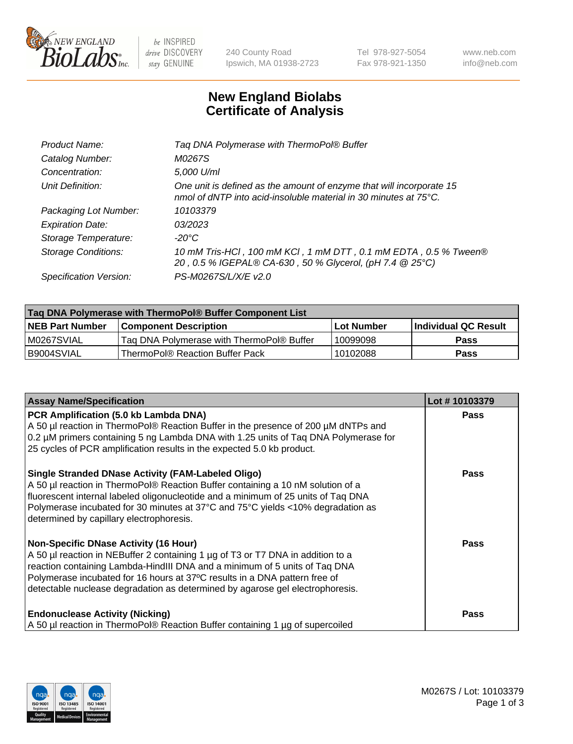

 $be$  INSPIRED drive DISCOVERY stay GENUINE

240 County Road Ipswich, MA 01938-2723 Tel 978-927-5054 Fax 978-921-1350 www.neb.com info@neb.com

## **New England Biolabs Certificate of Analysis**

| Tag DNA Polymerase with ThermoPol® Buffer                                                                                                |
|------------------------------------------------------------------------------------------------------------------------------------------|
| M0267S                                                                                                                                   |
| 5,000 U/ml                                                                                                                               |
| One unit is defined as the amount of enzyme that will incorporate 15<br>nmol of dNTP into acid-insoluble material in 30 minutes at 75°C. |
| 10103379                                                                                                                                 |
| 03/2023                                                                                                                                  |
| $-20^{\circ}$ C                                                                                                                          |
| 10 mM Tris-HCl, 100 mM KCl, 1 mM DTT, 0.1 mM EDTA, 0.5 % Tween®<br>20, 0.5 % IGEPAL® CA-630, 50 % Glycerol, (pH 7.4 @ 25°C)              |
| PS-M0267S/L/X/E v2.0                                                                                                                     |
|                                                                                                                                          |

| Tag DNA Polymerase with ThermoPol® Buffer Component List |                                           |                   |                      |  |  |
|----------------------------------------------------------|-------------------------------------------|-------------------|----------------------|--|--|
| <b>NEB Part Number</b>                                   | <b>Component Description</b>              | <b>Lot Number</b> | Individual QC Result |  |  |
| M0267SVIAL                                               | Tag DNA Polymerase with ThermoPol® Buffer | 10099098          | Pass                 |  |  |
| B9004SVIAL                                               | ThermoPol® Reaction Buffer Pack           | 10102088          | Pass                 |  |  |

| <b>Assay Name/Specification</b>                                                                                                                                                                                                                                                                                                                                              | Lot #10103379 |
|------------------------------------------------------------------------------------------------------------------------------------------------------------------------------------------------------------------------------------------------------------------------------------------------------------------------------------------------------------------------------|---------------|
| PCR Amplification (5.0 kb Lambda DNA)<br>A 50 µl reaction in ThermoPol® Reaction Buffer in the presence of 200 µM dNTPs and<br>0.2 µM primers containing 5 ng Lambda DNA with 1.25 units of Taq DNA Polymerase for<br>25 cycles of PCR amplification results in the expected 5.0 kb product.                                                                                 | <b>Pass</b>   |
| <b>Single Stranded DNase Activity (FAM-Labeled Oligo)</b><br>A 50 µl reaction in ThermoPol® Reaction Buffer containing a 10 nM solution of a<br>fluorescent internal labeled oligonucleotide and a minimum of 25 units of Taq DNA<br>Polymerase incubated for 30 minutes at 37°C and 75°C yields <10% degradation as<br>determined by capillary electrophoresis.             | Pass          |
| <b>Non-Specific DNase Activity (16 Hour)</b><br>A 50 µl reaction in NEBuffer 2 containing 1 µg of T3 or T7 DNA in addition to a<br>reaction containing Lambda-HindIII DNA and a minimum of 5 units of Taq DNA<br>Polymerase incubated for 16 hours at 37°C results in a DNA pattern free of<br>detectable nuclease degradation as determined by agarose gel electrophoresis. | <b>Pass</b>   |
| <b>Endonuclease Activity (Nicking)</b><br>A 50 µl reaction in ThermoPol® Reaction Buffer containing 1 µg of supercoiled                                                                                                                                                                                                                                                      | Pass          |

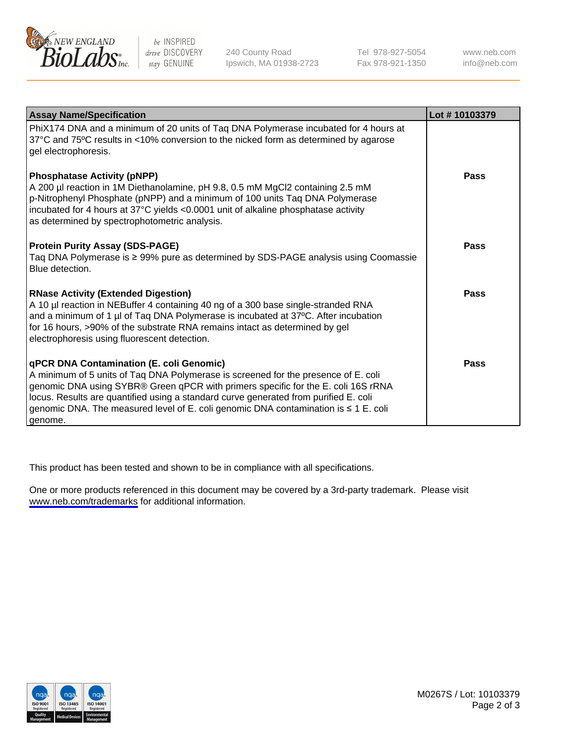

be INSPIRED drive DISCOVERY stay GENUINE

240 County Road Ipswich, MA 01938-2723 Tel 978-927-5054 Fax 978-921-1350

www.neb.com info@neb.com

| <b>Assay Name/Specification</b>                                                                                                                                                                                                                                                                                                                                                                                      | Lot #10103379 |
|----------------------------------------------------------------------------------------------------------------------------------------------------------------------------------------------------------------------------------------------------------------------------------------------------------------------------------------------------------------------------------------------------------------------|---------------|
| PhiX174 DNA and a minimum of 20 units of Taq DNA Polymerase incubated for 4 hours at<br>37°C and 75°C results in <10% conversion to the nicked form as determined by agarose<br>gel electrophoresis.                                                                                                                                                                                                                 |               |
| <b>Phosphatase Activity (pNPP)</b><br>A 200 µl reaction in 1M Diethanolamine, pH 9.8, 0.5 mM MgCl2 containing 2.5 mM<br>p-Nitrophenyl Phosphate (pNPP) and a minimum of 100 units Taq DNA Polymerase<br>incubated for 4 hours at 37°C yields <0.0001 unit of alkaline phosphatase activity<br>as determined by spectrophotometric analysis.                                                                          | Pass          |
| <b>Protein Purity Assay (SDS-PAGE)</b><br>Taq DNA Polymerase is ≥ 99% pure as determined by SDS-PAGE analysis using Coomassie<br>Blue detection.                                                                                                                                                                                                                                                                     | Pass          |
| <b>RNase Activity (Extended Digestion)</b><br>A 10 µl reaction in NEBuffer 4 containing 40 ng of a 300 base single-stranded RNA<br>and a minimum of 1 µl of Taq DNA Polymerase is incubated at 37°C. After incubation<br>for 16 hours, >90% of the substrate RNA remains intact as determined by gel<br>electrophoresis using fluorescent detection.                                                                 | Pass          |
| <b>qPCR DNA Contamination (E. coli Genomic)</b><br>A minimum of 5 units of Taq DNA Polymerase is screened for the presence of E. coli<br>genomic DNA using SYBR® Green qPCR with primers specific for the E. coli 16S rRNA<br>locus. Results are quantified using a standard curve generated from purified E. coli<br>genomic DNA. The measured level of E. coli genomic DNA contamination is ≤ 1 E. coli<br>genome. | Pass          |

This product has been tested and shown to be in compliance with all specifications.

One or more products referenced in this document may be covered by a 3rd-party trademark. Please visit <www.neb.com/trademarks>for additional information.